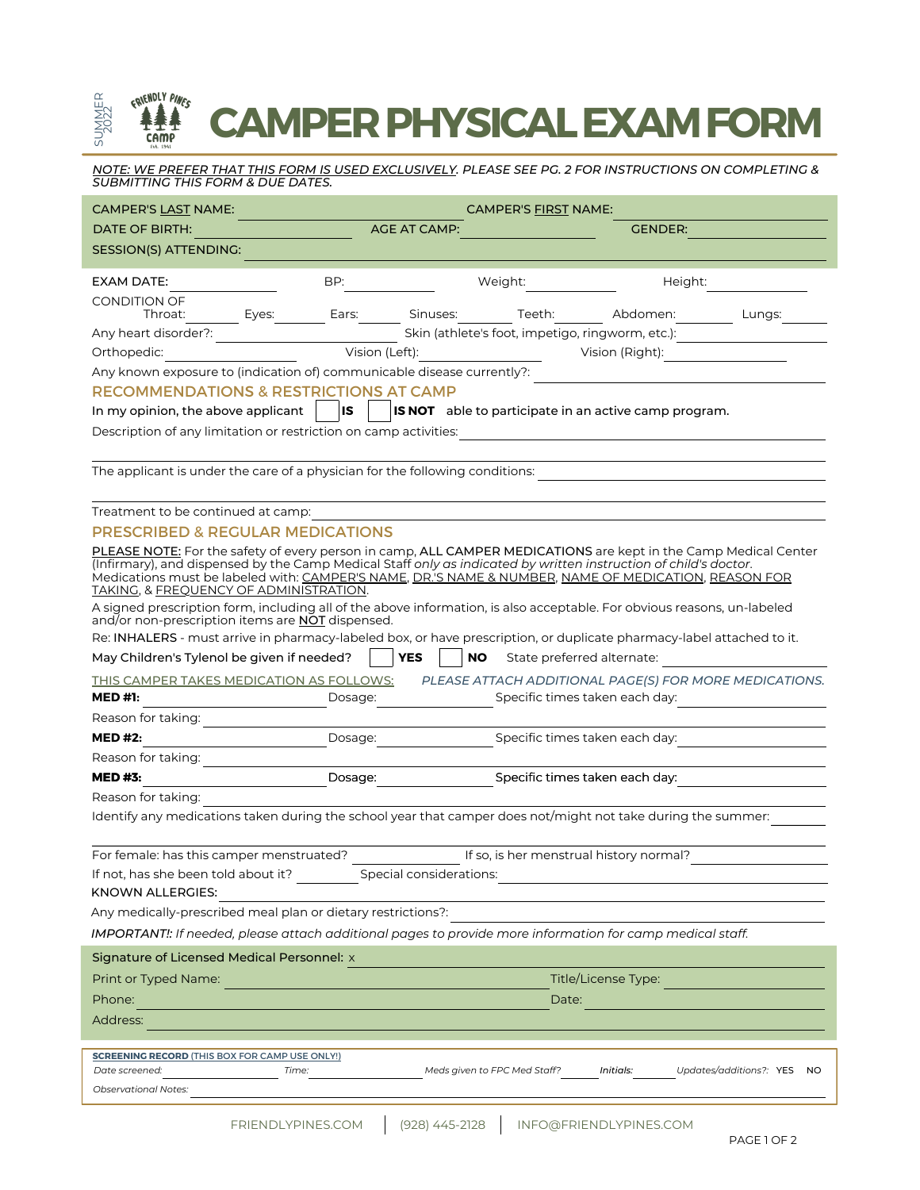## ERIENDLY PINES SUMMER<br>2022<br>2022 **CAMPERPHYSICALEXAMFORM** 2022

<u>NOTE: WE PREFER THAT THIS FORM IS USED EXCLUSIVELY.</u> PLEASE SEE PG. 2 FOR INSTRUCTIONS ON COMPLETING & *SUBMITTING THIS FORM & DUE DATES.*

| <b>CAMPER'S LAST NAME:</b>                                                                                                                                                                                                                                                                                                                                                            | CAMPER'S FIRST NAME:                                                                |                                                  |                                                                                                                         |  |
|---------------------------------------------------------------------------------------------------------------------------------------------------------------------------------------------------------------------------------------------------------------------------------------------------------------------------------------------------------------------------------------|-------------------------------------------------------------------------------------|--------------------------------------------------|-------------------------------------------------------------------------------------------------------------------------|--|
| <b>DATE OF BIRTH:</b>                                                                                                                                                                                                                                                                                                                                                                 |                                                                                     | <b>AGE AT CAMP:</b>                              | <b>GENDER:</b>                                                                                                          |  |
| SESSION(S) ATTENDING:                                                                                                                                                                                                                                                                                                                                                                 |                                                                                     |                                                  |                                                                                                                         |  |
| EXAM DATE:                                                                                                                                                                                                                                                                                                                                                                            | BP:                                                                                 | Weight:                                          | Height:                                                                                                                 |  |
| <b>CONDITION OF</b>                                                                                                                                                                                                                                                                                                                                                                   |                                                                                     |                                                  |                                                                                                                         |  |
| Throat:                                                                                                                                                                                                                                                                                                                                                                               | Ears:<br>Eyes:                                                                      | Sinuses:<br>Teeth:                               | Abdomen:<br>Lungs:                                                                                                      |  |
| Any heart disorder?:                                                                                                                                                                                                                                                                                                                                                                  |                                                                                     | Skin (athlete's foot, impetigo, ringworm, etc.): |                                                                                                                         |  |
| Orthopedic:                                                                                                                                                                                                                                                                                                                                                                           | Vision (Left):                                                                      |                                                  | Vision (Right):                                                                                                         |  |
|                                                                                                                                                                                                                                                                                                                                                                                       | Any known exposure to (indication of) communicable disease currently?:              |                                                  |                                                                                                                         |  |
| <b>RECOMMENDATIONS &amp; RESTRICTIONS AT CAMP</b>                                                                                                                                                                                                                                                                                                                                     |                                                                                     |                                                  |                                                                                                                         |  |
| lls<br><b>IS NOT</b> able to participate in an active camp program.<br>In my opinion, the above applicant                                                                                                                                                                                                                                                                             |                                                                                     |                                                  |                                                                                                                         |  |
| Description of any limitation or restriction on camp activities:                                                                                                                                                                                                                                                                                                                      |                                                                                     |                                                  |                                                                                                                         |  |
| The applicant is under the care of a physician for the following conditions:                                                                                                                                                                                                                                                                                                          |                                                                                     |                                                  |                                                                                                                         |  |
| Treatment to be continued at camp:                                                                                                                                                                                                                                                                                                                                                    |                                                                                     |                                                  |                                                                                                                         |  |
| <b>PRESCRIBED &amp; REGULAR MEDICATIONS</b>                                                                                                                                                                                                                                                                                                                                           |                                                                                     |                                                  |                                                                                                                         |  |
| PLEASE NOTE: For the safety of every person in camp, ALL CAMPER MEDICATIONS are kept in the Camp Medical Center<br>(Infirmary), and dispensed by the Camp Medical Staff only as indicated by written instruction of child's doctor.<br>Medications must be labeled with: CAMPER'S NAME, DR.'S NAME & NUMBER, NAME OF MEDICATION, REASON FOR<br>TAKING, & FREQUENCY OF ADMINISTRATION. |                                                                                     |                                                  |                                                                                                                         |  |
|                                                                                                                                                                                                                                                                                                                                                                                       | and/or non-prescription items are <b>NOT</b> dispensed.                             |                                                  | A signed prescription form, including all of the above information, is also acceptable. For obvious reasons, un-labeled |  |
| Re: INHALERS - must arrive in pharmacy-labeled box, or have prescription, or duplicate pharmacy-label attached to it.                                                                                                                                                                                                                                                                 |                                                                                     |                                                  |                                                                                                                         |  |
| May Children's Tylenol be given if needed?                                                                                                                                                                                                                                                                                                                                            |                                                                                     | <b>YES</b><br>NO.<br>State preferred alternate:  |                                                                                                                         |  |
|                                                                                                                                                                                                                                                                                                                                                                                       | THIS CAMPER TAKES MEDICATION AS FOLLOWS:                                            |                                                  | PLEASE ATTACH ADDITIONAL PAGE(S) FOR MORE MEDICATIONS.                                                                  |  |
| <b>MED #1:</b>                                                                                                                                                                                                                                                                                                                                                                        | Dosage:                                                                             |                                                  | Specific times taken each day:                                                                                          |  |
| Reason for taking:                                                                                                                                                                                                                                                                                                                                                                    |                                                                                     |                                                  |                                                                                                                         |  |
| <b>MED #2:</b>                                                                                                                                                                                                                                                                                                                                                                        | Dosage:                                                                             |                                                  | Specific times taken each day:                                                                                          |  |
| Reason for taking:                                                                                                                                                                                                                                                                                                                                                                    |                                                                                     |                                                  |                                                                                                                         |  |
| <b>MED #3:</b>                                                                                                                                                                                                                                                                                                                                                                        | Dosage:                                                                             |                                                  | Specific times taken each day:                                                                                          |  |
| Reason for taking:                                                                                                                                                                                                                                                                                                                                                                    |                                                                                     |                                                  |                                                                                                                         |  |
|                                                                                                                                                                                                                                                                                                                                                                                       |                                                                                     |                                                  | Identify any medications taken during the school year that camper does not/might not take during the summer:            |  |
| For female: has this camper menstruated?                                                                                                                                                                                                                                                                                                                                              |                                                                                     | If so, is her menstrual history normal?          |                                                                                                                         |  |
| If not, has she been told about it?                                                                                                                                                                                                                                                                                                                                                   |                                                                                     | Special considerations:                          |                                                                                                                         |  |
| KNOWN ALLERGIES:                                                                                                                                                                                                                                                                                                                                                                      |                                                                                     |                                                  |                                                                                                                         |  |
| Any medically-prescribed meal plan or dietary restrictions?:<br>IMPORTANT!: If needed, please attach additional pages to provide more information for camp medical staff.                                                                                                                                                                                                             |                                                                                     |                                                  |                                                                                                                         |  |
|                                                                                                                                                                                                                                                                                                                                                                                       |                                                                                     |                                                  |                                                                                                                         |  |
| Signature of Licensed Medical Personnel: x                                                                                                                                                                                                                                                                                                                                            |                                                                                     |                                                  |                                                                                                                         |  |
| Print or Typed Name:                                                                                                                                                                                                                                                                                                                                                                  | Title/License Type:                                                                 |                                                  |                                                                                                                         |  |
| Phone:                                                                                                                                                                                                                                                                                                                                                                                | Date:<br>the control of the control of the control of the control of the control of |                                                  |                                                                                                                         |  |
| Address:                                                                                                                                                                                                                                                                                                                                                                              |                                                                                     |                                                  |                                                                                                                         |  |
| <b>SCREENING RECORD (THIS BOX FOR CAMP USE ONLY!)</b>                                                                                                                                                                                                                                                                                                                                 |                                                                                     |                                                  |                                                                                                                         |  |
| Date screened:                                                                                                                                                                                                                                                                                                                                                                        | Time:                                                                               | Meds given to FPC Med Staff? <b>Initials:</b>    | Updates/additions?: YES NO                                                                                              |  |
| <b>Observational Notes:</b>                                                                                                                                                                                                                                                                                                                                                           |                                                                                     |                                                  |                                                                                                                         |  |
|                                                                                                                                                                                                                                                                                                                                                                                       |                                                                                     |                                                  |                                                                                                                         |  |